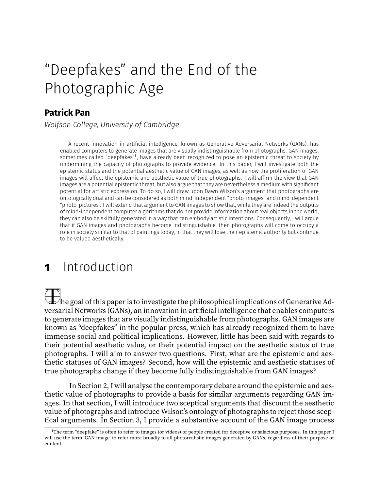# "Deepfakes" and the End of the Photographic Age

#### **Patrick Pan**

*Wolfson College, University of Cambridge*

A recent innovation in artificial intelligence, known as Generative Adversarial Networks (GANs), has enabled computers to generate images that are visually indistinguishable from photographs. GAN images, sometimes called "deepfakes"<sup>1</sup>, have already been recognized to pose an epistemic threat to society by undermining the capacity of photographs to provide evidence. In this paper, I will investigate both the epistemic status and the potential aesthetic value of GAN images, as well as how the proliferation of GAN images will affect the epistemic and aesthetic value of true photographs. I will affirm the view that GAN images are a potential epistemic threat, but also argue that they are nevertheless a medium with significant potential for artistic expression. To do so, I will draw upon Dawn Wilson's argument that photographs are ontologically dual and can be considered as both mind-independent "photo-images" and mind-dependent "photo-pictures". I will extend that argument to GAN images to show that, while they are indeed the outputs of mind-independent computer algorithms that do not provide information about real objects in the world, they can also be skilfully generated in a way that can embody artistic intentions. Consequently, I will argue that if GAN images and photographs become indistinguishable, then photographs will come to occupy a role in society similar to that of paintings today, in that they will lose their epistemic authority but continue to be valued aesthetically.

# **1** Introduction

The goal of this paper is to investigate the philosophical implications of Generative Adversarial Networks (GANs), an innovation in artificial intelligence that enables computers to generate images that are visually indistinguishable from photographs. GAN images are known as "deepfakes" in the popular press, which has already recognized them to have immense social and political implications. However, little has been said with regards to their potential aesthetic value, or their potential impact on the aesthetic status of true photographs. I will aim to answer two questions. First, what are the epistemic and aesthetic statuses of GAN images? Second, how will the epistemic and aesthetic statuses of true photographs change if they become fully indistinguishable from GAN images?

In Section 2, I will analyse the contemporary debate around the epistemic and aesthetic value of photographs to provide a basis for similar arguments regarding GAN images. In that section, I will introduce two sceptical arguments that discount the aesthetic value of photographs and introduce Wilson's ontology of photographs to reject those sceptical arguments. In Section 3, I provide a substantive account of the GAN image process

<sup>&</sup>lt;sup>1</sup>The term "deepfake" is often to refer to images (or videos) of people created for deceptive or salacious purposes. In this paper I will use the term 'GAN image' to refer more broadly to all photorealistic images generated by GANs, regardless of their purpose or content.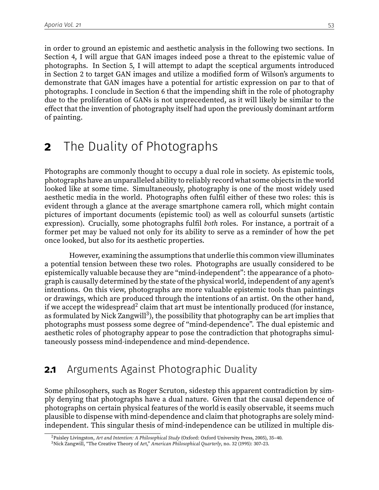in order to ground an epistemic and aesthetic analysis in the following two sections. In Section 4, I will argue that GAN images indeed pose a threat to the epistemic value of photographs. In Section 5, I will attempt to adapt the sceptical arguments introduced in Section 2 to target GAN images and utilize a modified form of Wilson's arguments to demonstrate that GAN images have a potential for artistic expression on par to that of photographs. I conclude in Section 6 that the impending shift in the role of photography due to the proliferation of GANs is not unprecedented, as it will likely be similar to the effect that the invention of photography itself had upon the previously dominant artform of painting.

### **2** The Duality of Photographs

Photographs are commonly thought to occupy a dual role in society. As epistemic tools, photographs have an unparalleled ability to reliably record what some objects in the world looked like at some time. Simultaneously, photography is one of the most widely used aesthetic media in the world. Photographs often fulfil either of these two roles: this is evident through a glance at the average smartphone camera roll, which might contain pictures of important documents (epistemic tool) as well as colourful sunsets (artistic expression). Crucially, some photographs fulfil both roles. For instance, a portrait of a former pet may be valued not only for its ability to serve as a reminder of how the pet once looked, but also for its aesthetic properties.

However, examining the assumptions that underlie this common view illuminates a potential tension between these two roles. Photographs are usually considered to be epistemically valuable because they are "mind-independent": the appearance of a photograph is causally determined by the state of the physical world, independent of any agent's intentions. On this view, photographs are more valuable epistemic tools than paintings or drawings, which are produced through the intentions of an artist. On the other hand, if we accept the widespread<sup>2</sup> claim that art must be intentionally produced (for instance, as formulated by Nick Zangwill $3$ ), the possibility that photography can be art implies that photographs must possess some degree of "mind-dependence". The dual epistemic and aesthetic roles of photography appear to pose the contradiction that photographs simultaneously possess mind-independence and mind-dependence.

#### **2.1** Arguments Against Photographic Duality

Some philosophers, such as Roger Scruton, sidestep this apparent contradiction by simply denying that photographs have a dual nature. Given that the causal dependence of photographs on certain physical features of the world is easily observable, it seems much plausible to dispense with mind-dependence and claim that photographs are solely mindindependent. This singular thesis of mind-independence can be utilized in multiple dis-

<sup>2</sup>Paisley Livingston, Art and Intention: A Philosophical Study (Oxford: Oxford University Press, 2005), 35–40.

<sup>3</sup>Nick Zangwill, "The Creative Theory of Art," American Philosophical Quarterly, no. 32 (1995): 307–23.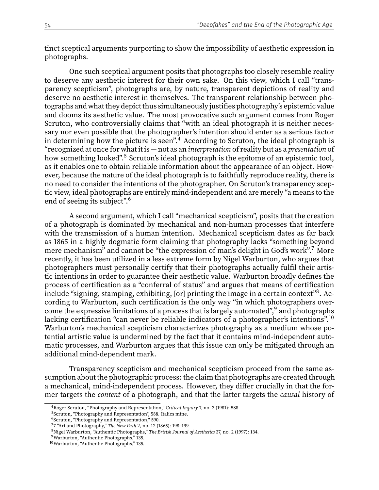tinct sceptical arguments purporting to show the impossibility of aesthetic expression in photographs.

One such sceptical argument posits that photographs too closely resemble reality to deserve any aesthetic interest for their own sake. On this view, which I call "transparency scepticism", photographs are, by nature, transparent depictions of reality and deserve no aesthetic interest in themselves. The transparent relationship between photographs and what they depict thus simultaneously justifies photography's epistemic value and dooms its aesthetic value. The most provocative such argument comes from Roger Scruton, who controversially claims that "with an ideal photograph it is neither necessary nor even possible that the photographer's intention should enter as a serious factor in determining how the picture is seen". $4$  According to Scruton, the ideal photograph is "recognized at once for what it is — not as an interpretation of reality but as a presentation of how something looked".<sup>5</sup> Scruton's ideal photograph is the epitome of an epistemic tool, as it enables one to obtain reliable information about the appearance of an object. However, because the nature of the ideal photograph is to faithfully reproduce reality, there is no need to consider the intentions of the photographer. On Scruton's transparency sceptic view, ideal photographs are entirely mind-independent and are merely "a means to the end of seeing its subject".<sup>6</sup>

A second argument, which I call "mechanical scepticism", posits that the creation of a photograph is dominated by mechanical and non-human processes that interfere with the transmission of a human intention. Mechanical scepticism dates as far back as 1865 in a highly dogmatic form claiming that photography lacks "something beyond mere mechanism" and cannot be "the expression of man's delight in God's work".<sup>7</sup> More recently, it has been utilized in a less extreme form by Nigel Warburton, who argues that photographers must personally certify that their photographs actually fulfil their artistic intentions in order to guarantee their aesthetic value. Warburton broadly defines the process of certification as a "conferral of status" and argues that means of certification  $\overline{\text{include}}$  "signing, stamping, exhibiting, [or] printing the image in a certain context" $^8$ . According to Warburton, such certification is the only way "in which photographers overcome the expressive limitations of a process that is largely automated",<sup>9</sup> and photographs lacking certification "can never be reliable indicators of a photographer's intentions".<sup>10</sup> Warburton's mechanical scepticism characterizes photography as a medium whose potential artistic value is undermined by the fact that it contains mind-independent automatic processes, and Warburton argues that this issue can only be mitigated through an additional mind-dependent mark.

Transparency scepticism and mechanical scepticism proceed from the same assumption about the photographic process: the claim that photographs are created through a mechanical, mind-independent process. However, they differ crucially in that the former targets the content of a photograph, and that the latter targets the causal history of

<sup>&</sup>lt;sup>4</sup>Roger Scruton, "Photography and Representation," Critical Inquiry 7, no. 3 (1981): 588.

<sup>&</sup>lt;sup>5</sup>Scruton, "Photography and Representation", 588. Italics mine.

<sup>&</sup>lt;sup>6</sup>Scruton, "Photography and Representation," 590.

<sup>&</sup>lt;sup>7</sup>7 "Art and Photography," The New Path 2, no. 12 (1865): 198-199.

<sup>8</sup>Nigel Warburton, "Authentic Photographs," The British Journal of Aesthetics 37, no. 2 (1997): 134.

<sup>9</sup>Warburton, "Authentic Photographs," 135.

<sup>10</sup>Warburton, "Authentic Photographs," 135.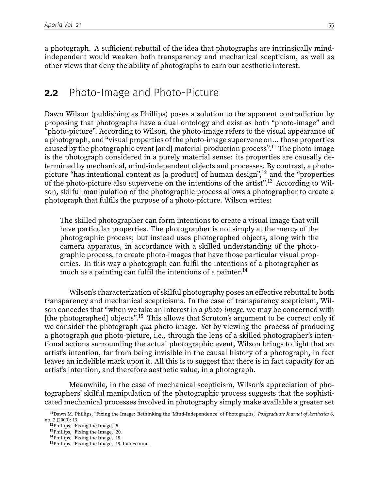a photograph. A sufficient rebuttal of the idea that photographs are intrinsically mindindependent would weaken both transparency and mechanical scepticism, as well as other views that deny the ability of photographs to earn our aesthetic interest.

#### **2.2** Photo-Image and Photo-Picture

Dawn Wilson (publishing as Phillips) poses a solution to the apparent contradiction by proposing that photographs have a dual ontology and exist as both "photo-image" and "photo-picture". According to Wilson, the photo-image refers to the visual appearance of a photograph, and "visual properties of the photo-image supervene on... those properties caused by the photographic event [and] material production process".<sup>11</sup> The photo-image is the photograph considered in a purely material sense: its properties are causally determined by mechanical, mind-independent objects and processes. By contrast, a photopicture "has intentional content as  $[a \text{ product}]$  of human design",<sup>12</sup> and the "properties" of the photo-picture also supervene on the intentions of the artist".<sup>13</sup> According to Wilson, skilful manipulation of the photographic process allows a photographer to create a photograph that fulfils the purpose of a photo-picture. Wilson writes:

The skilled photographer can form intentions to create a visual image that will have particular properties. The photographer is not simply at the mercy of the photographic process; but instead uses photographed objects, along with the camera apparatus, in accordance with a skilled understanding of the photographic process, to create photo-images that have those particular visual properties. In this way a photograph can fulfil the intentions of a photographer as much as a painting can fulfil the intentions of a painter.<sup>14</sup>

Wilson's characterization of skilful photography poses an effective rebuttal to both transparency and mechanical scepticisms. In the case of transparency scepticism, Wilson concedes that "when we take an interest in a photo-image, we may be concerned with [the photographed] objects".<sup>15</sup> This allows that Scruton's argument to be correct only if we consider the photograph *qua* photo-image. Yet by viewing the process of producing a photograph *qua* photo-picture, i.e., through the lens of a skilled photographer's intentional actions surrounding the actual photographic event, Wilson brings to light that an artist's intention, far from being invisible in the causal history of a photograph, in fact leaves an indelible mark upon it. All this is to suggest that there is in fact capacity for an artist's intention, and therefore aesthetic value, in a photograph.

Meanwhile, in the case of mechanical scepticism, Wilson's appreciation of photographers' skilful manipulation of the photographic process suggests that the sophisticated mechanical processes involved in photography simply make available a greater set

<sup>&</sup>lt;sup>11</sup>Dawn M. Phillips, "Fixing the Image: Rethinking the 'Mind-Independence' of Photographs," Postgraduate Journal of Aesthetics 6, no. 2 (2009): 13.

<sup>&</sup>lt;sup>12</sup>Phillips, "Fixing the Image," 5.

<sup>13</sup>Phillips, "Fixing the Image," 20.

<sup>&</sup>lt;sup>14</sup>Phillips, "Fixing the Image," 18.

<sup>&</sup>lt;sup>15</sup>Phillips, "Fixing the Image," 19. Italics mine.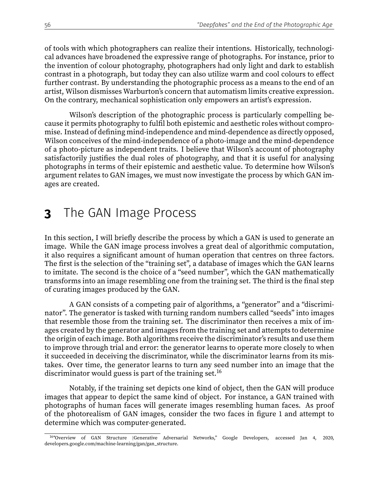of tools with which photographers can realize their intentions. Historically, technological advances have broadened the expressive range of photographs. For instance, prior to the invention of colour photography, photographers had only light and dark to establish contrast in a photograph, but today they can also utilize warm and cool colours to effect further contrast. By understanding the photographic process as a means to the end of an artist, Wilson dismisses Warburton's concern that automatism limits creative expression. On the contrary, mechanical sophistication only empowers an artist's expression.

Wilson's description of the photographic process is particularly compelling because it permits photography to fulfil both epistemic and aesthetic roles without compromise. Instead of defining mind-independence and mind-dependence as directly opposed, Wilson conceives of the mind-independence of a photo-image and the mind-dependence of a photo-picture as independent traits. I believe that Wilson's account of photography satisfactorily justifies the dual roles of photography, and that it is useful for analysing photographs in terms of their epistemic and aesthetic value. To determine how Wilson's argument relates to GAN images, we must now investigate the process by which GAN images are created.

# **3** The GAN Image Process

In this section, I will briefly describe the process by which a GAN is used to generate an image. While the GAN image process involves a great deal of algorithmic computation, it also requires a signicant amount of human operation that centres on three factors. The first is the selection of the "training set", a database of images which the GAN learns to imitate. The second is the choice of a "seed number", which the GAN mathematically transforms into an image resembling one from the training set. The third is the final step of curating images produced by the GAN.

A GAN consists of a competing pair of algorithms, a "generator" and a "discriminator". The generator is tasked with turning random numbers called "seeds" into images that resemble those from the training set. The discriminator then receives a mix of images created by the generator and images from the training set and attempts to determine the origin of each image. Both algorithms receive the discriminator's results and use them to improve through trial and error: the generator learns to operate more closely to when it succeeded in deceiving the discriminator, while the discriminator learns from its mistakes. Over time, the generator learns to turn any seed number into an image that the discriminator would guess is part of the training set.<sup>16</sup>

Notably, if the training set depicts one kind of object, then the GAN will produce images that appear to depict the same kind of object. For instance, a GAN trained with photographs of human faces will generate images resembling human faces. As proof of the photorealism of GAN images, consider the two faces in figure 1 and attempt to determine which was computer-generated.

<sup>16</sup>"Overview of GAN Structure |Generative Adversarial Networks," Google Developers, accessed Jan 4, 2020, developers.google.com/machine-learning/gan/gan\_structure.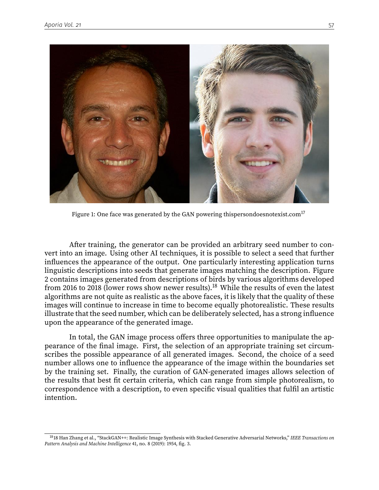

Figure 1: One face was generated by the GAN powering thispersondoesnotexist.com $^{17}$ 

After training, the generator can be provided an arbitrary seed number to convert into an image. Using other AI techniques, it is possible to select a seed that further influences the appearance of the output. One particularly interesting application turns linguistic descriptions into seeds that generate images matching the description. Figure 2 contains images generated from descriptions of birds by various algorithms developed from 2016 to 2018 (lower rows show newer results).<sup>18</sup> While the results of even the latest algorithms are not quite as realistic as the above faces, it is likely that the quality of these images will continue to increase in time to become equally photorealistic. These results illustrate that the seed number, which can be deliberately selected, has a strong influence upon the appearance of the generated image.

In total, the GAN image process offers three opportunities to manipulate the appearance of the final image. First, the selection of an appropriate training set circumscribes the possible appearance of all generated images. Second, the choice of a seed number allows one to influence the appearance of the image within the boundaries set by the training set. Finally, the curation of GAN-generated images allows selection of the results that best fit certain criteria, which can range from simple photorealism, to correspondence with a description, to even specific visual qualities that fulfil an artistic intention.

<sup>&</sup>lt;sup>18</sup>18 Han Zhang et al., "StackGAN++: Realistic Image Synthesis with Stacked Generative Adversarial Networks," IEEE Transactions on Pattern Analysis and Machine Intelligence 41, no. 8 (2019): 1954, fig. 3.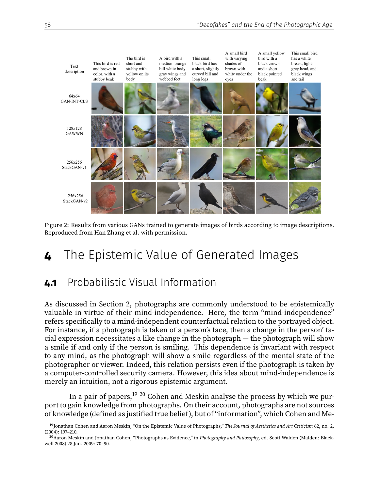

Figure 2: Results from various GANs trained to generate images of birds according to image descriptions. Reproduced from Han Zhang et al. with permission.

# **4** The Epistemic Value of Generated Images

### **4.1** Probabilistic Visual Information

As discussed in Section 2, photographs are commonly understood to be epistemically valuable in virtue of their mind-independence. Here, the term "mind-independence" refers specifically to a mind-independent counterfactual relation to the portrayed object. For instance, if a photograph is taken of a person's face, then a change in the person' facial expression necessitates a like change in the photograph — the photograph will show a smile if and only if the person is smiling. This dependence is invariant with respect to any mind, as the photograph will show a smile regardless of the mental state of the photographer or viewer. Indeed, this relation persists even if the photograph is taken by a computer-controlled security camera. However, this idea about mind-independence is merely an intuition, not a rigorous epistemic argument.

In a pair of papers,<sup>19 20</sup> Cohen and Meskin analyse the process by which we purport to gain knowledge from photographs. On their account, photographs are not sources of knowledge (defined as justified true belief), but of "information", which Cohen and Me-

<sup>&</sup>lt;sup>19</sup>Jonathan Cohen and Aaron Meskin, "On the Epistemic Value of Photographs," The Journal of Aesthetics and Art Criticism 62, no. 2, (2004): 197–210.

 $^{20}$ Aaron Meskin and Jonathan Cohen, "Photographs as Evidence," in Photography and Philosophy, ed. Scott Walden (Malden: Blackwell 2008) 28 Jan. 2009: 70–90.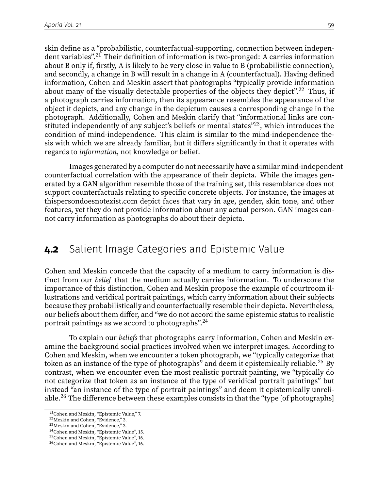skin define as a "probabilistic, counterfactual-supporting, connection between independent variables".<sup>21</sup> Their definition of information is two-pronged: A carries information about B only if, firstly, A is likely to be very close in value to B (probabilistic connection), and secondly, a change in B will result in a change in A (counterfactual). Having defined information, Cohen and Meskin assert that photographs "typically provide information about many of the visually detectable properties of the objects they depict".<sup>22</sup> Thus, if a photograph carries information, then its appearance resembles the appearance of the object it depicts, and any change in the depictum causes a corresponding change in the photograph. Additionally, Cohen and Meskin clarify that "informational links are constituted independently of any subject's beliefs or mental states"<sup>23</sup>, which introduces the condition of mind-independence. This claim is similar to the mind-independence thesis with which we are already familiar, but it differs significantly in that it operates with regards to information, not knowledge or belief.

Images generated by a computer do not necessarily have a similar mind-independent counterfactual correlation with the appearance of their depicta. While the images generated by a GAN algorithm resemble those of the training set, this resemblance does not support counterfactuals relating to specific concrete objects. For instance, the images at thispersondoesnotexist.com depict faces that vary in age, gender, skin tone, and other features, yet they do not provide information about any actual person. GAN images cannot carry information as photographs do about their depicta.

#### **4.2** Salient Image Categories and Epistemic Value

Cohen and Meskin concede that the capacity of a medium to carry information is distinct from our belief that the medium actually carries information. To underscore the importance of this distinction, Cohen and Meskin propose the example of courtroom illustrations and veridical portrait paintings, which carry information about their subjects because they probabilistically and counterfactually resemble their depicta. Nevertheless, our beliefs about them differ, and "we do not accord the same epistemic status to realistic portrait paintings as we accord to photographs".<sup>24</sup>

To explain our *beliefs* that photographs carry information, Cohen and Meskin examine the background social practices involved when we interpret images. According to Cohen and Meskin, when we encounter a token photograph, we "typically categorize that token as an instance of the type of photographs" and deem it epistemically reliable.<sup>25</sup> By contrast, when we encounter even the most realistic portrait painting, we "typically do not categorize that token as an instance of the type of veridical portrait paintings" but instead "an instance of the type of portrait paintings" and deem it epistemically unreliable.<sup>26</sup> The difference between these examples consists in that the "type [of photographs]

<sup>21</sup>Cohen and Meskin, "Epistemic Value," 7.

<sup>22</sup>Meskin and Cohen, "Evidence," 3.

<sup>23</sup>Meskin and Cohen, "Evidence," 3.

<sup>&</sup>lt;sup>24</sup>Cohen and Meskin, "Epistemic Value", 15.

<sup>&</sup>lt;sup>25</sup>Cohen and Meskin, "Epistemic Value", 16. <sup>26</sup>Cohen and Meskin, "Epistemic Value", 16.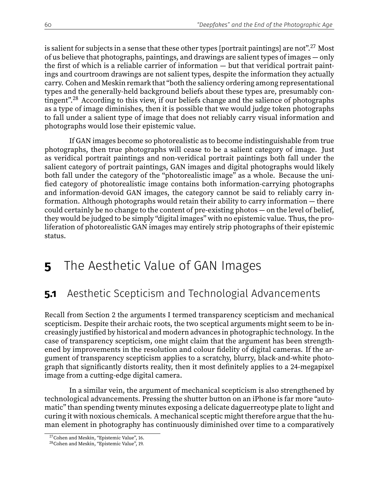is salient for subjects in a sense that these other types [portrait paintings] are not".<sup>27</sup> Most of us believe that photographs, paintings, and drawings are salient types of images — only the first of which is a reliable carrier of information  $-$  but that veridical portrait paintings and courtroom drawings are not salient types, despite the information they actually carry. Cohen and Meskin remark that "both the saliency ordering among representational types and the generally-held background beliefs about these types are, presumably contingent"<sup>28</sup> According to this view, if our beliefs change and the salience of photographs as a type of image diminishes, then it is possible that we would judge token photographs to fall under a salient type of image that does not reliably carry visual information and photographs would lose their epistemic value.

If GAN images become so photorealistic as to become indistinguishable from true photographs, then true photographs will cease to be a salient category of image. Just as veridical portrait paintings and non-veridical portrait paintings both fall under the salient category of portrait paintings, GAN images and digital photographs would likely both fall under the category of the "photorealistic image" as a whole. Because the uni fied category of photorealistic image contains both information-carrying photographs and information-devoid GAN images, the category cannot be said to reliably carry information. Although photographs would retain their ability to carry information — there could certainly be no change to the content of pre-existing photos — on the level of belief, they would be judged to be simply "digital images" with no epistemic value. Thus, the proliferation of photorealistic GAN images may entirely strip photographs of their epistemic status.

## **5** The Aesthetic Value of GAN Images

### **5.1** Aesthetic Scepticism and Technologial Advancements

Recall from Section 2 the arguments I termed transparency scepticism and mechanical scepticism. Despite their archaic roots, the two sceptical arguments might seem to be increasingly justied by historical and modern advances in photographic technology. In the case of transparency scepticism, one might claim that the argument has been strengthened by improvements in the resolution and colour fidelity of digital cameras. If the argument of transparency scepticism applies to a scratchy, blurry, black-and-white photograph that significantly distorts reality, then it most definitely applies to a 24-megapixel image from a cutting-edge digital camera.

In a similar vein, the argument of mechanical scepticism is also strengthened by technological advancements. Pressing the shutter button on an iPhone is far more "automatic" than spending twenty minutes exposing a delicate daguerreotype plate to light and curing it with noxious chemicals. A mechanical sceptic might therefore argue that the human element in photography has continuously diminished over time to a comparatively

<sup>27</sup>Cohen and Meskin, "Epistemic Value", 16.

<sup>&</sup>lt;sup>28</sup>Cohen and Meskin, "Epistemic Value", 19.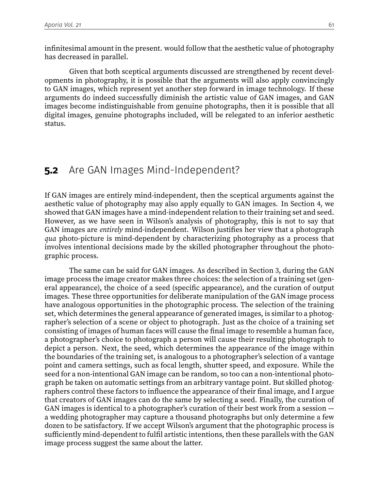infinitesimal amount in the present. would follow that the aesthetic value of photography has decreased in parallel.

Given that both sceptical arguments discussed are strengthened by recent developments in photography, it is possible that the arguments will also apply convincingly to GAN images, which represent yet another step forward in image technology. If these arguments do indeed successfully diminish the artistic value of GAN images, and GAN images become indistinguishable from genuine photographs, then it is possible that all digital images, genuine photographs included, will be relegated to an inferior aesthetic status.

#### **5.2** Are GAN Images Mind-Independent?

If GAN images are entirely mind-independent, then the sceptical arguments against the aesthetic value of photography may also apply equally to GAN images. In Section 4, we showed that GAN images have a mind-independent relation to their training set and seed. However, as we have seen in Wilson's analysis of photography, this is not to say that GAN images are entirely mind-independent. Wilson justifies her view that a photograph qua photo-picture is mind-dependent by characterizing photography as a process that involves intentional decisions made by the skilled photographer throughout the photographic process.

The same can be said for GAN images. As described in Section 3, during the GAN image process the image creator makes three choices: the selection of a training set (general appearance), the choice of a seed (specific appearance), and the curation of output images. These three opportunities for deliberate manipulation of the GAN image process have analogous opportunities in the photographic process. The selection of the training set, which determines the general appearance of generated images, is similar to a photographer's selection of a scene or object to photograph. Just as the choice of a training set consisting of images of human faces will cause the final image to resemble a human face, a photographer's choice to photograph a person will cause their resulting photograph to depict a person. Next, the seed, which determines the appearance of the image within the boundaries of the training set, is analogous to a photographer's selection of a vantage point and camera settings, such as focal length, shutter speed, and exposure. While the seed for a non-intentional GAN image can be random, so too can a non-intentional photograph be taken on automatic settings from an arbitrary vantage point. But skilled photographers control these factors to influence the appearance of their final image, and I argue that creators of GAN images can do the same by selecting a seed. Finally, the curation of GAN images is identical to a photographer's curation of their best work from a session a wedding photographer may capture a thousand photographs but only determine a few dozen to be satisfactory. If we accept Wilson's argument that the photographic process is sufficiently mind-dependent to fulfil artistic intentions, then these parallels with the GAN image process suggest the same about the latter.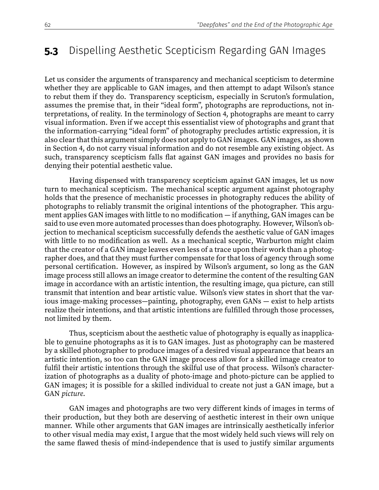### **5.3** Dispelling Aesthetic Scepticism Regarding GAN Images

Let us consider the arguments of transparency and mechanical scepticism to determine whether they are applicable to GAN images, and then attempt to adapt Wilson's stance to rebut them if they do. Transparency scepticism, especially in Scruton's formulation, assumes the premise that, in their "ideal form", photographs are reproductions, not interpretations, of reality. In the terminology of Section 4, photographs are meant to carry visual information. Even if we accept this essentialist view of photographs and grant that the information-carrying "ideal form" of photography precludes artistic expression, it is also clear that this argument simply does not apply to GAN images. GAN images, as shown in Section 4, do not carry visual information and do not resemble any existing object. As such, transparency scepticism falls flat against GAN images and provides no basis for denying their potential aesthetic value.

Having dispensed with transparency scepticism against GAN images, let us now turn to mechanical scepticism. The mechanical sceptic argument against photography holds that the presence of mechanistic processes in photography reduces the ability of photographs to reliably transmit the original intentions of the photographer. This argument applies GAN images with little to no modification  $-$  if anything, GAN images can be said to use even more automated processes than does photography. However, Wilson's objection to mechanical scepticism successfully defends the aesthetic value of GAN images with little to no modification as well. As a mechanical sceptic, Warburton might claim that the creator of a GAN image leaves even less of a trace upon their work than a photographer does, and that they must further compensate for that loss of agency through some personal certification. However, as inspired by Wilson's argument, so long as the GAN image process still allows an image creator to determine the content of the resulting GAN image in accordance with an artistic intention, the resulting image, qua picture, can still transmit that intention and bear artistic value. Wilson's view states in short that the various image-making processes—painting, photography, even GANs — exist to help artists realize their intentions, and that artistic intentions are fulfilled through those processes, not limited by them.

Thus, scepticism about the aesthetic value of photography is equally as inapplicable to genuine photographs as it is to GAN images. Just as photography can be mastered by a skilled photographer to produce images of a desired visual appearance that bears an artistic intention, so too can the GAN image process allow for a skilled image creator to fulfil their artistic intentions through the skilful use of that process. Wilson's characterization of photographs as a duality of photo-image and photo-picture can be applied to GAN images; it is possible for a skilled individual to create not just a GAN image, but a GAN picture.

GAN images and photographs are two very different kinds of images in terms of their production, but they both are deserving of aesthetic interest in their own unique manner. While other arguments that GAN images are intrinsically aesthetically inferior to other visual media may exist, I argue that the most widely held such views will rely on the same flawed thesis of mind-independence that is used to justify similar arguments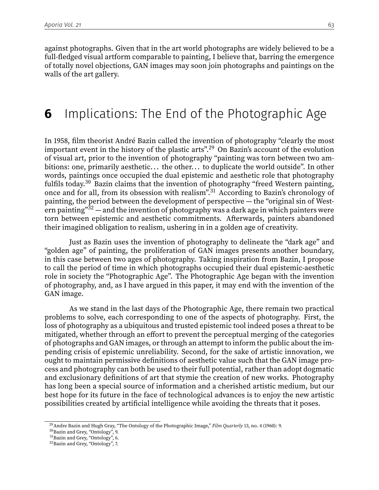against photographs. Given that in the art world photographs are widely believed to be a full-fledged visual artform comparable to painting, I believe that, barring the emergence of totally novel objections, GAN images may soon join photographs and paintings on the walls of the art gallery.

### **6** Implications: The End of the Photographic Age

In 1958, film theorist André Bazin called the invention of photography "clearly the most important event in the history of the plastic arts".<sup>29</sup> On Bazin's account of the evolution of visual art, prior to the invention of photography "painting was torn between two ambitions: one, primarily aesthetic... the other... to duplicate the world outside". In other words, paintings once occupied the dual epistemic and aesthetic role that photography fulfils today.<sup>30</sup> Bazin claims that the invention of photography "freed Western painting, once and for all, from its obsession with realism".<sup>31</sup> According to Bazin's chronology of painting, the period between the development of perspective — the "original sin of Western painting" $32$  — and the invention of photography was a dark age in which painters were torn between epistemic and aesthetic commitments. Afterwards, painters abandoned their imagined obligation to realism, ushering in in a golden age of creativity.

Just as Bazin uses the invention of photography to delineate the "dark age" and "golden age" of painting, the proliferation of GAN images presents another boundary, in this case between two ages of photography. Taking inspiration from Bazin, I propose to call the period of time in which photographs occupied their dual epistemic-aesthetic role in society the "Photographic Age". The Photographic Age began with the invention of photography, and, as I have argued in this paper, it may end with the invention of the GAN image.

As we stand in the last days of the Photographic Age, there remain two practical problems to solve, each corresponding to one of the aspects of photography. First, the loss of photography as a ubiquitous and trusted epistemic tool indeed poses a threat to be mitigated, whether through an effort to prevent the perceptual merging of the categories of photographs and GAN images, or through an attempt to inform the public about the impending crisis of epistemic unreliability. Second, for the sake of artistic innovation, we ought to maintain permissive definitions of aesthetic value such that the GAN image process and photography can both be used to their full potential, rather than adopt dogmatic and exclusionary definitions of art that stymie the creation of new works. Photography has long been a special source of information and a cherished artistic medium, but our best hope for its future in the face of technological advances is to enjoy the new artistic possibilities created by artificial intelligence while avoiding the threats that it poses.

<sup>&</sup>lt;sup>29</sup> Andre Bazin and Hugh Gray, "The Ontology of the Photographic Image," Film Quarterly 13, no. 4 (1960): 9.

<sup>30</sup>Bazin and Grey, "Ontology", 9.

<sup>&</sup>lt;sup>31</sup>Bazin and Grey, "Ontology", 6.

<sup>&</sup>lt;sup>32</sup> Bazin and Grey, "Ontology", 7.